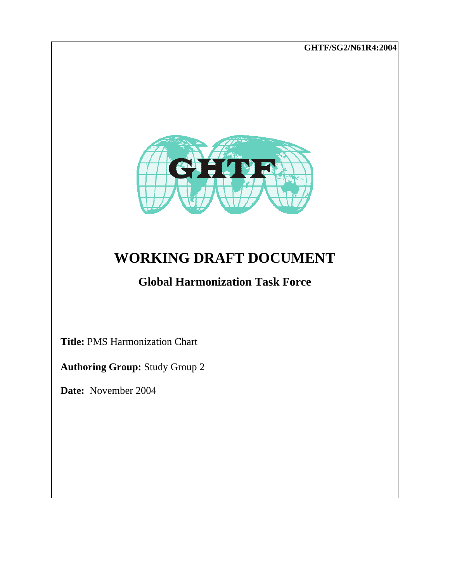**GHTF/SG2/N61R4:2004** 



# **WORKING DRAFT DOCUMENT**

## **Global Harmonization Task Force**

 **Title:** PMS Harmonization Chart

 **Authoring Group:** Study Group 2

 **Date:** November 2004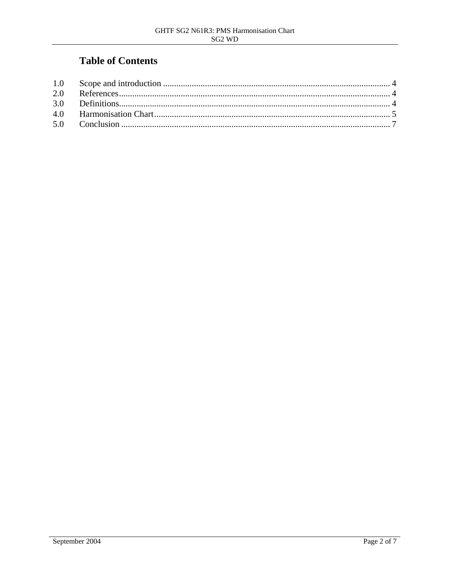### **Table of Contents**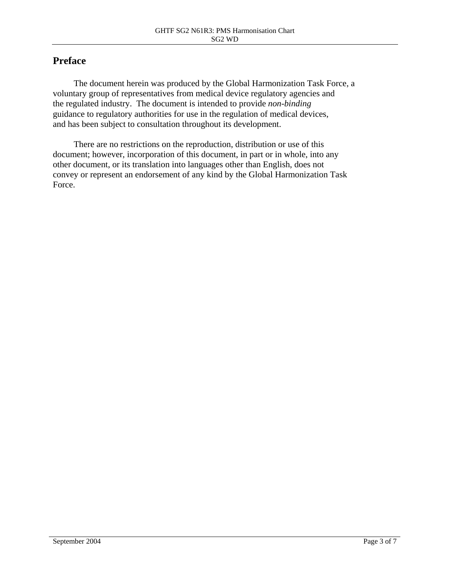#### **Preface**

The document herein was produced by the Global Harmonization Task Force, a voluntary group of representatives from medical device regulatory agencies and the regulated industry. The document is intended to provide *non-binding* guidance to regulatory authorities for use in the regulation of medical devices, and has been subject to consultation throughout its development.

There are no restrictions on the reproduction, distribution or use of this document; however, incorporation of this document, in part or in whole, into any other document, or its translation into languages other than English, does not convey or represent an endorsement of any kind by the Global Harmonization Task Force.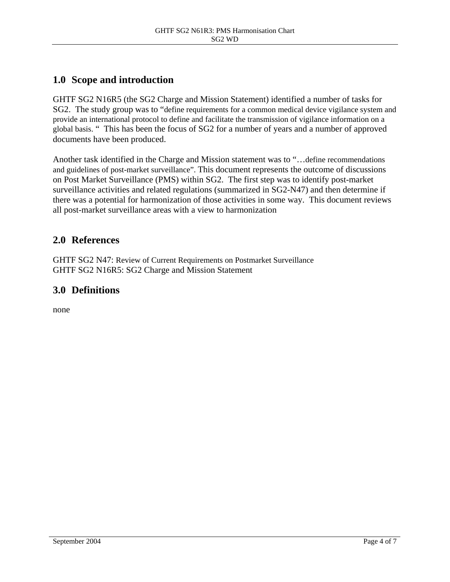#### <span id="page-3-0"></span>**1.0 Scope and introduction**

GHTF SG2 N16R5 (the SG2 Charge and Mission Statement) identified a number of tasks for SG2. The study group was to "define requirements for a common medical device vigilance system and provide an international protocol to define and facilitate the transmission of vigilance information on a global basis. " This has been the focus of SG2 for a number of years and a number of approved documents have been produced.

Another task identified in the Charge and Mission statement was to "…define recommendations and guidelines of post-market surveillance". This document represents the outcome of discussions on Post Market Surveillance (PMS) within SG2. The first step was to identify post-market surveillance activities and related regulations (summarized in SG2-N47) and then determine if there was a potential for harmonization of those activities in some way. This document reviews all post-market surveillance areas with a view to harmonization

#### **2.0 References**

GHTF SG2 N47: Review of Current Requirements on Postmarket Surveillance GHTF SG2 N16R5: SG2 Charge and Mission Statement

#### **3.0 Definitions**

none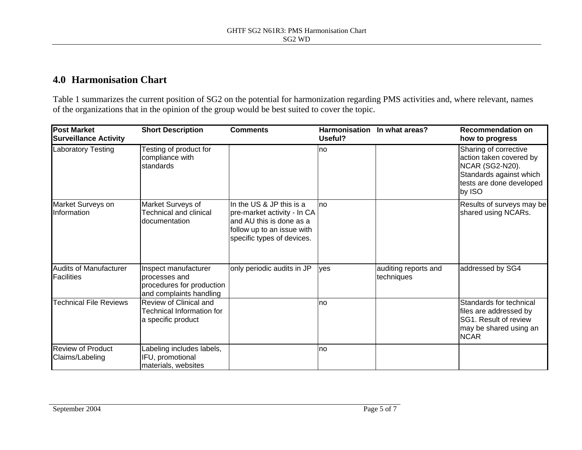#### **4.0 Harmonisation Chart**

Table 1 summarizes the current position of SG2 on the potential for harmonization regarding PMS activities and, where relevant, names of the organizations that in the opinion of the group would be best suited to cover the topic.

<span id="page-4-0"></span>

| <b>Post Market</b><br><b>Surveillance Activity</b> | <b>Short Description</b>                                                                      | <b>Comments</b>                                                                                                                                 | Useful? | Harmonisation In what areas?       | <b>Recommendation on</b><br>how to progress                                                                                          |
|----------------------------------------------------|-----------------------------------------------------------------------------------------------|-------------------------------------------------------------------------------------------------------------------------------------------------|---------|------------------------------------|--------------------------------------------------------------------------------------------------------------------------------------|
| <b>Laboratory Testing</b>                          | Testing of product for<br>compliance with<br>standards                                        |                                                                                                                                                 | no      |                                    | Sharing of corrective<br>action taken covered by<br>NCAR (SG2-N20).<br>Standards against which<br>tests are done developed<br>by ISO |
| Market Surveys on<br>Information                   | Market Surveys of<br><b>Technical and clinical</b><br>documentation                           | In the US & JP this is a<br>pre-market activity - In CA<br>and AU this is done as a<br>follow up to an issue with<br>specific types of devices. | no      |                                    | Results of surveys may be<br>shared using NCARs.                                                                                     |
| <b>Audits of Manufacturer</b><br>Facilities        | Inspect manufacturer<br>processes and<br>procedures for production<br>and complaints handling | only periodic audits in JP                                                                                                                      | yes     | auditing reports and<br>techniques | addressed by SG4                                                                                                                     |
| <b>Technical File Reviews</b>                      | <b>Review of Clinical and</b><br>Technical Information for<br>a specific product              |                                                                                                                                                 | no      |                                    | Standards for technical<br>files are addressed by<br><b>ISG1. Result of review</b><br>may be shared using an<br><b>NCAR</b>          |
| <b>Review of Product</b><br>Claims/Labeling        | Labeling includes labels,<br>IFU, promotional<br>materials, websites                          |                                                                                                                                                 | no      |                                    |                                                                                                                                      |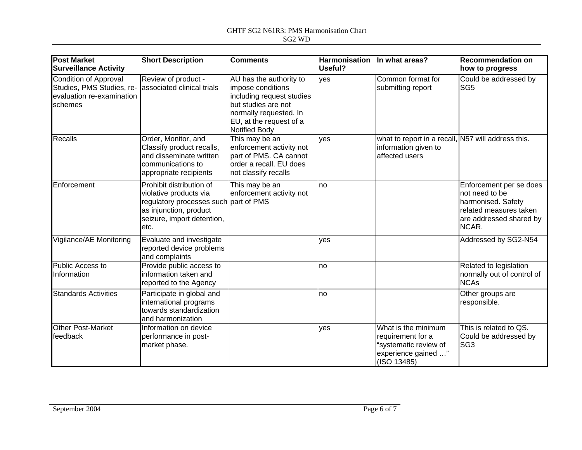#### GHTF SG2 N61R3: PMS Harmonisation Chart SG2 WD

| <b>Post Market</b><br><b>Surveillance Activity</b>                                                | <b>Short Description</b>                                                                                                                                     | <b>Comments</b>                                                                                                                                                        | Harmonisation In what areas?<br>Useful? |                                                                                                         | <b>Recommendation on</b><br>how to progress                                                                                    |
|---------------------------------------------------------------------------------------------------|--------------------------------------------------------------------------------------------------------------------------------------------------------------|------------------------------------------------------------------------------------------------------------------------------------------------------------------------|-----------------------------------------|---------------------------------------------------------------------------------------------------------|--------------------------------------------------------------------------------------------------------------------------------|
| <b>Condition of Approval</b><br>Studies, PMS Studies, re-<br>evaluation re-examination<br>schemes | Review of product -<br>associated clinical trials                                                                                                            | AU has the authority to<br>impose conditions<br>including request studies<br>but studies are not<br>normally requested. In<br>EU, at the request of a<br>Notified Body | yes                                     | Common format for<br>submitting report                                                                  | Could be addressed by<br>SG <sub>5</sub>                                                                                       |
| Recalls                                                                                           | Order, Monitor, and<br>Classify product recalls,<br>and disseminate written<br>communications to<br>appropriate recipients                                   | This may be an<br>enforcement activity not<br>part of PMS. CA cannot<br>order a recall. EU does<br>not classify recalls                                                | ves                                     | what to report in a recall, N57 will address this.<br>information given to<br>affected users            |                                                                                                                                |
| Enforcement                                                                                       | Prohibit distribution of<br>violative products via<br>regulatory processes such part of PMS<br>as injunction, product<br>seizure, import detention,<br>letc. | This may be an<br>enforcement activity not                                                                                                                             | <b>no</b>                               |                                                                                                         | Enforcement per se does<br>Inot need to be<br>harmonised. Safety<br>related measures taken<br>are addressed shared by<br>NCAR. |
| Vigilance/AE Monitoring                                                                           | Evaluate and investigate<br>reported device problems<br>and complaints                                                                                       |                                                                                                                                                                        | ves                                     |                                                                                                         | Addressed by SG2-N54                                                                                                           |
| Public Access to<br>Information                                                                   | Provide public access to<br>information taken and<br>reported to the Agency                                                                                  |                                                                                                                                                                        | <b>no</b>                               |                                                                                                         | Related to legislation<br>normally out of control of<br><b>NCAs</b>                                                            |
| <b>Standards Activities</b>                                                                       | Participate in global and<br>international programs<br>towards standardization<br>and harmonization                                                          |                                                                                                                                                                        | no                                      |                                                                                                         | Other groups are<br>responsible.                                                                                               |
| <b>Other Post-Market</b><br>feedback                                                              | Information on device<br>performance in post-<br>market phase.                                                                                               |                                                                                                                                                                        | ves                                     | What is the minimum<br>requirement for a<br>"systematic review of<br>experience gained "<br>(ISO 13485) | This is related to QS.<br>Could be addressed by<br>SG <sub>3</sub>                                                             |